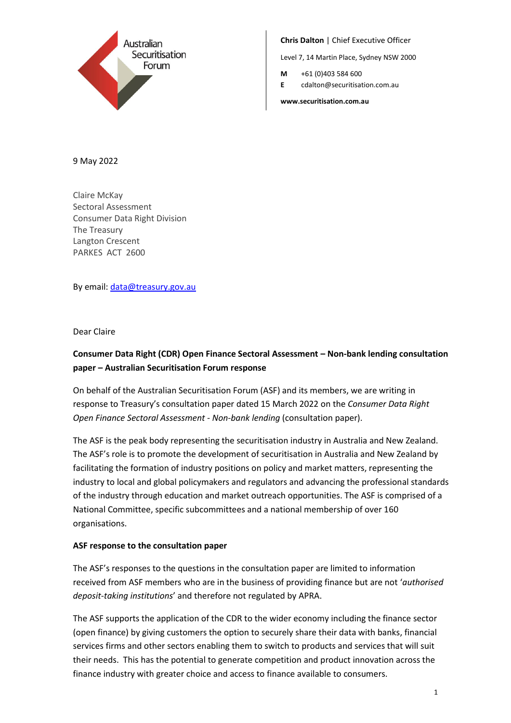

**Chris Dalton** | Chief Executive Officer

Level 7, 14 Martin Place, Sydney NSW 2000

**M** +61 (0)403 584 600

**E** cdalton@securitisation.com.au

**www.securitisation.com.au**

9 May 2022

Claire McKay Sectoral Assessment Consumer Data Right Division The Treasury Langton Crescent PARKES ACT 2600

By email[: data@treasury.gov.au](mailto:data@treasury.gov.au)

Dear Claire

# **Consumer Data Right (CDR) Open Finance Sectoral Assessment – Non-bank lending consultation paper – Australian Securitisation Forum response**

On behalf of the Australian Securitisation Forum (ASF) and its members, we are writing in response to Treasury's consultation paper dated 15 March 2022 on the *Consumer Data Right Open Finance Sectoral Assessment - Non-bank lending* (consultation paper).

The ASF is the peak body representing the securitisation industry in Australia and New Zealand. The ASF's role is to promote the development of securitisation in Australia and New Zealand by facilitating the formation of industry positions on policy and market matters, representing the industry to local and global policymakers and regulators and advancing the professional standards of the industry through education and market outreach opportunities. The ASF is comprised of a National Committee, specific subcommittees and a national membership of over 160 organisations.

## **ASF response to the consultation paper**

The ASF's responses to the questions in the consultation paper are limited to information received from ASF members who are in the business of providing finance but are not '*authorised deposit-taking institutions*' and therefore not regulated by APRA.

The ASF supports the application of the CDR to the wider economy including the finance sector (open finance) by giving customers the option to securely share their data with banks, financial services firms and other sectors enabling them to switch to products and services that will suit their needs. This has the potential to generate competition and product innovation across the finance industry with greater choice and access to finance available to consumers.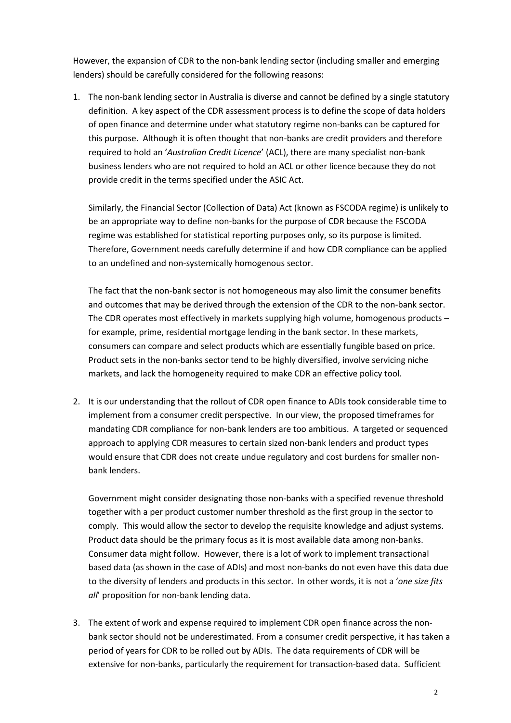However, the expansion of CDR to the non-bank lending sector (including smaller and emerging lenders) should be carefully considered for the following reasons:

1. The non-bank lending sector in Australia is diverse and cannot be defined by a single statutory definition. A key aspect of the CDR assessment process is to define the scope of data holders of open finance and determine under what statutory regime non-banks can be captured for this purpose. Although it is often thought that non-banks are credit providers and therefore required to hold an '*Australian Credit Licence*' (ACL), there are many specialist non-bank business lenders who are not required to hold an ACL or other licence because they do not provide credit in the terms specified under the ASIC Act.

Similarly, the Financial Sector (Collection of Data) Act (known as FSCODA regime) is unlikely to be an appropriate way to define non-banks for the purpose of CDR because the FSCODA regime was established for statistical reporting purposes only, so its purpose is limited. Therefore, Government needs carefully determine if and how CDR compliance can be applied to an undefined and non-systemically homogenous sector.

The fact that the non-bank sector is not homogeneous may also limit the consumer benefits and outcomes that may be derived through the extension of the CDR to the non-bank sector. The CDR operates most effectively in markets supplying high volume, homogenous products – for example, prime, residential mortgage lending in the bank sector. In these markets, consumers can compare and select products which are essentially fungible based on price. Product sets in the non-banks sector tend to be highly diversified, involve servicing niche markets, and lack the homogeneity required to make CDR an effective policy tool.

2. It is our understanding that the rollout of CDR open finance to ADIs took considerable time to implement from a consumer credit perspective. In our view, the proposed timeframes for mandating CDR compliance for non-bank lenders are too ambitious. A targeted or sequenced approach to applying CDR measures to certain sized non-bank lenders and product types would ensure that CDR does not create undue regulatory and cost burdens for smaller nonbank lenders.

Government might consider designating those non-banks with a specified revenue threshold together with a per product customer number threshold as the first group in the sector to comply. This would allow the sector to develop the requisite knowledge and adjust systems. Product data should be the primary focus as it is most available data among non-banks. Consumer data might follow. However, there is a lot of work to implement transactional based data (as shown in the case of ADIs) and most non-banks do not even have this data due to the diversity of lenders and products in this sector. In other words, it is not a '*one size fits all*' proposition for non-bank lending data.

3. The extent of work and expense required to implement CDR open finance across the nonbank sector should not be underestimated. From a consumer credit perspective, it has taken a period of years for CDR to be rolled out by ADIs. The data requirements of CDR will be extensive for non-banks, particularly the requirement for transaction-based data. Sufficient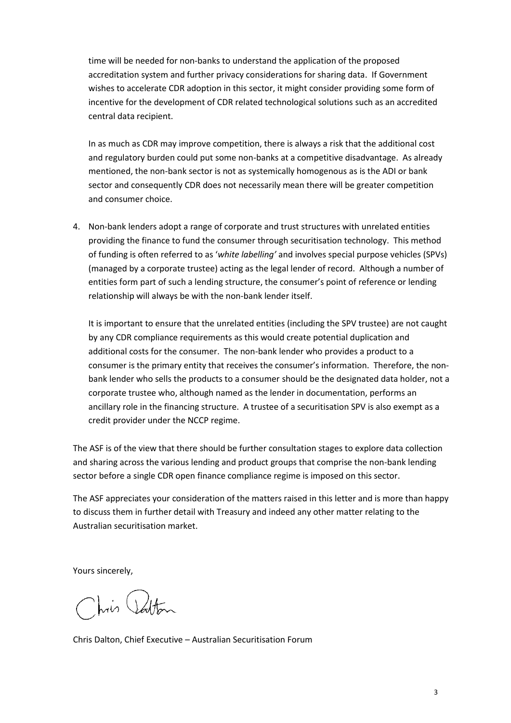time will be needed for non-banks to understand the application of the proposed accreditation system and further privacy considerations for sharing data. If Government wishes to accelerate CDR adoption in this sector, it might consider providing some form of incentive for the development of CDR related technological solutions such as an accredited central data recipient.

In as much as CDR may improve competition, there is always a risk that the additional cost and regulatory burden could put some non-banks at a competitive disadvantage. As already mentioned, the non-bank sector is not as systemically homogenous as is the ADI or bank sector and consequently CDR does not necessarily mean there will be greater competition and consumer choice.

4. Non-bank lenders adopt a range of corporate and trust structures with unrelated entities providing the finance to fund the consumer through securitisation technology. This method of funding is often referred to as '*white labelling'* and involves special purpose vehicles (SPVs) (managed by a corporate trustee) acting as the legal lender of record. Although a number of entities form part of such a lending structure, the consumer's point of reference or lending relationship will always be with the non-bank lender itself.

It is important to ensure that the unrelated entities (including the SPV trustee) are not caught by any CDR compliance requirements as this would create potential duplication and additional costs for the consumer. The non-bank lender who provides a product to a consumer is the primary entity that receives the consumer's information. Therefore, the nonbank lender who sells the products to a consumer should be the designated data holder, not a corporate trustee who, although named as the lender in documentation, performs an ancillary role in the financing structure. A trustee of a securitisation SPV is also exempt as a credit provider under the NCCP regime.

The ASF is of the view that there should be further consultation stages to explore data collection and sharing across the various lending and product groups that comprise the non-bank lending sector before a single CDR open finance compliance regime is imposed on this sector.

The ASF appreciates your consideration of the matters raised in this letter and is more than happy to discuss them in further detail with Treasury and indeed any other matter relating to the Australian securitisation market.

Yours sincerely,

Chris Potton

Chris Dalton, Chief Executive – Australian Securitisation Forum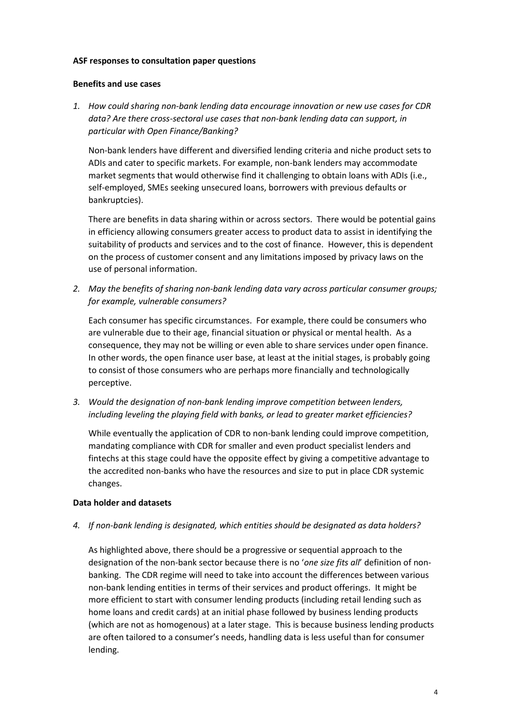### **ASF responses to consultation paper questions**

### **Benefits and use cases**

*1. How could sharing non-bank lending data encourage innovation or new use cases for CDR data? Are there cross-sectoral use cases that non-bank lending data can support, in particular with Open Finance/Banking?* 

Non-bank lenders have different and diversified lending criteria and niche product sets to ADIs and cater to specific markets. For example, non-bank lenders may accommodate market segments that would otherwise find it challenging to obtain loans with ADIs (i.e., self-employed, SMEs seeking unsecured loans, borrowers with previous defaults or bankruptcies).

There are benefits in data sharing within or across sectors. There would be potential gains in efficiency allowing consumers greater access to product data to assist in identifying the suitability of products and services and to the cost of finance. However, this is dependent on the process of customer consent and any limitations imposed by privacy laws on the use of personal information.

*2. May the benefits of sharing non-bank lending data vary across particular consumer groups; for example, vulnerable consumers?* 

Each consumer has specific circumstances. For example, there could be consumers who are vulnerable due to their age, financial situation or physical or mental health. As a consequence, they may not be willing or even able to share services under open finance. In other words, the open finance user base, at least at the initial stages, is probably going to consist of those consumers who are perhaps more financially and technologically perceptive.

*3. Would the designation of non-bank lending improve competition between lenders, including leveling the playing field with banks, or lead to greater market efficiencies?*

While eventually the application of CDR to non-bank lending could improve competition, mandating compliance with CDR for smaller and even product specialist lenders and fintechs at this stage could have the opposite effect by giving a competitive advantage to the accredited non-banks who have the resources and size to put in place CDR systemic changes.

## **Data holder and datasets**

*4. If non-bank lending is designated, which entities should be designated as data holders?*

As highlighted above, there should be a progressive or sequential approach to the designation of the non-bank sector because there is no '*one size fits all*' definition of nonbanking. The CDR regime will need to take into account the differences between various non-bank lending entities in terms of their services and product offerings. It might be more efficient to start with consumer lending products (including retail lending such as home loans and credit cards) at an initial phase followed by business lending products (which are not as homogenous) at a later stage. This is because business lending products are often tailored to a consumer's needs, handling data is less useful than for consumer lending.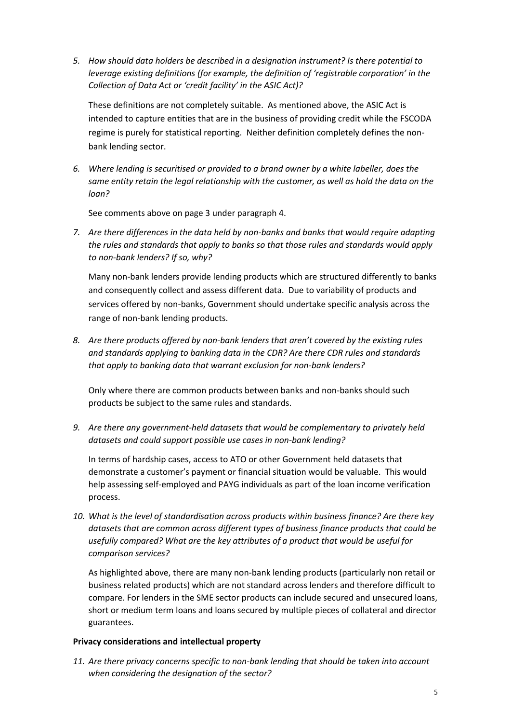*5. How should data holders be described in a designation instrument? Is there potential to leverage existing definitions (for example, the definition of 'registrable corporation' in the Collection of Data Act or 'credit facility' in the ASIC Act)?* 

These definitions are not completely suitable. As mentioned above, the ASIC Act is intended to capture entities that are in the business of providing credit while the FSCODA regime is purely for statistical reporting. Neither definition completely defines the nonbank lending sector.

*6. Where lending is securitised or provided to a brand owner by a white labeller, does the same entity retain the legal relationship with the customer, as well as hold the data on the loan?* 

See comments above on page 3 under paragraph 4.

*7. Are there differences in the data held by non-banks and banks that would require adapting the rules and standards that apply to banks so that those rules and standards would apply to non-bank lenders? If so, why?*

Many non-bank lenders provide lending products which are structured differently to banks and consequently collect and assess different data. Due to variability of products and services offered by non-banks, Government should undertake specific analysis across the range of non-bank lending products.

*8. Are there products offered by non-bank lenders that aren't covered by the existing rules and standards applying to banking data in the CDR? Are there CDR rules and standards that apply to banking data that warrant exclusion for non-bank lenders?*

Only where there are common products between banks and non-banks should such products be subject to the same rules and standards.

*9. Are there any government-held datasets that would be complementary to privately held datasets and could support possible use cases in non-bank lending?*

In terms of hardship cases, access to ATO or other Government held datasets that demonstrate a customer's payment or financial situation would be valuable. This would help assessing self-employed and PAYG individuals as part of the loan income verification process.

*10. What is the level of standardisation across products within business finance? Are there key datasets that are common across different types of business finance products that could be usefully compared? What are the key attributes of a product that would be useful for comparison services?*

As highlighted above, there are many non-bank lending products (particularly non retail or business related products) which are not standard across lenders and therefore difficult to compare. For lenders in the SME sector products can include secured and unsecured loans, short or medium term loans and loans secured by multiple pieces of collateral and director guarantees.

## **Privacy considerations and intellectual property**

*11. Are there privacy concerns specific to non-bank lending that should be taken into account when considering the designation of the sector?*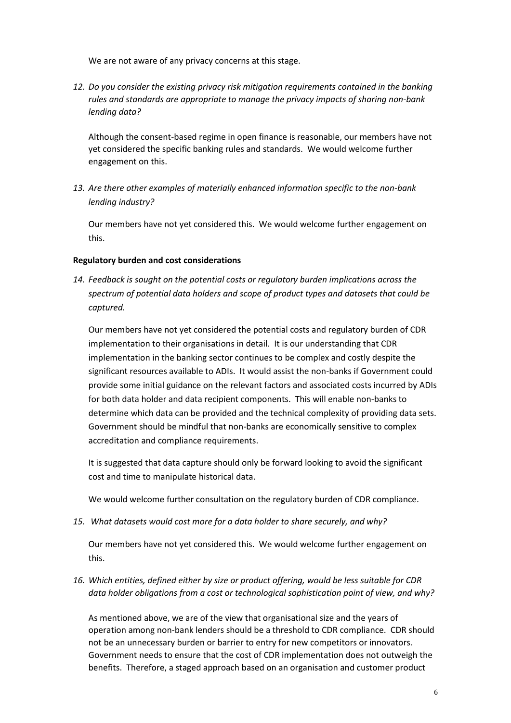We are not aware of any privacy concerns at this stage.

*12. Do you consider the existing privacy risk mitigation requirements contained in the banking rules and standards are appropriate to manage the privacy impacts of sharing non-bank lending data?*

Although the consent-based regime in open finance is reasonable, our members have not yet considered the specific banking rules and standards. We would welcome further engagement on this.

*13. Are there other examples of materially enhanced information specific to the non-bank lending industry?*

Our members have not yet considered this. We would welcome further engagement on this.

## **Regulatory burden and cost considerations**

*14. Feedback is sought on the potential costs or regulatory burden implications across the spectrum of potential data holders and scope of product types and datasets that could be captured.*

Our members have not yet considered the potential costs and regulatory burden of CDR implementation to their organisations in detail. It is our understanding that CDR implementation in the banking sector continues to be complex and costly despite the significant resources available to ADIs. It would assist the non-banks if Government could provide some initial guidance on the relevant factors and associated costs incurred by ADIs for both data holder and data recipient components. This will enable non-banks to determine which data can be provided and the technical complexity of providing data sets. Government should be mindful that non-banks are economically sensitive to complex accreditation and compliance requirements.

It is suggested that data capture should only be forward looking to avoid the significant cost and time to manipulate historical data.

We would welcome further consultation on the regulatory burden of CDR compliance.

*15. What datasets would cost more for a data holder to share securely, and why?*

Our members have not yet considered this. We would welcome further engagement on this.

*16. Which entities, defined either by size or product offering, would be less suitable for CDR data holder obligations from a cost or technological sophistication point of view, and why?*

As mentioned above, we are of the view that organisational size and the years of operation among non-bank lenders should be a threshold to CDR compliance. CDR should not be an unnecessary burden or barrier to entry for new competitors or innovators. Government needs to ensure that the cost of CDR implementation does not outweigh the benefits. Therefore, a staged approach based on an organisation and customer product